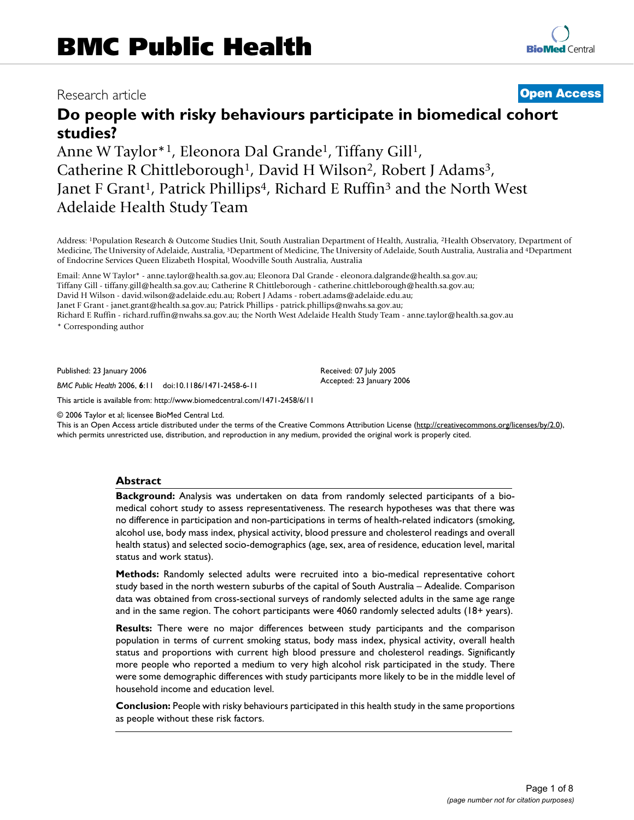# Research article **[Open Access](http://www.biomedcentral.com/info/about/charter/)**

# **Do people with risky behaviours participate in biomedical cohort studies?**

Anne W Taylor\*1, Eleonora Dal Grande1, Tiffany Gill1, Catherine R Chittleborough<sup>1</sup>, David H Wilson<sup>2</sup>, Robert J Adams<sup>3</sup>, Janet F Grant<sup>1</sup>, Patrick Phillips<sup>4</sup>, Richard E Ruffin<sup>3</sup> and the North West Adelaide Health Study Team

Address: <sup>1</sup>Population Research & Outcome Studies Unit, South Australian Department of Health, Australia, <sup>2</sup>Health Observatory, Department of Medicine, The University of Adelaide, Australia, 3Department of Medicine, The University of Adelaide, South Australia, Australia and 4Department of Endocrine Services Queen Elizabeth Hospital, Woodville South Australia, Australia

Email: Anne W Taylor\* - anne.taylor@health.sa.gov.au; Eleonora Dal Grande - eleonora.dalgrande@health.sa.gov.au; Tiffany Gill - tiffany.gill@health.sa.gov.au; Catherine R Chittleborough - catherine.chittleborough@health.sa.gov.au; David H Wilson - david.wilson@adelaide.edu.au; Robert J Adams - robert.adams@adelaide.edu.au; Janet F Grant - janet.grant@health.sa.gov.au; Patrick Phillips - patrick.phillips@nwahs.sa.gov.au; Richard E Ruffin - richard.ruffin@nwahs.sa.gov.au; the North West Adelaide Health Study Team - anne.taylor@health.sa.gov.au

\* Corresponding author

Published: 23 January 2006

*BMC Public Health* 2006, **6**:11 doi:10.1186/1471-2458-6-11

[This article is available from: http://www.biomedcentral.com/1471-2458/6/11](http://www.biomedcentral.com/1471-2458/6/11)

© 2006 Taylor et al; licensee BioMed Central Ltd.

This is an Open Access article distributed under the terms of the Creative Commons Attribution License [\(http://creativecommons.org/licenses/by/2.0\)](http://creativecommons.org/licenses/by/2.0), which permits unrestricted use, distribution, and reproduction in any medium, provided the original work is properly cited.

Received: 07 July 2005 Accepted: 23 January 2006

#### **Abstract**

**Background:** Analysis was undertaken on data from randomly selected participants of a biomedical cohort study to assess representativeness. The research hypotheses was that there was no difference in participation and non-participations in terms of health-related indicators (smoking, alcohol use, body mass index, physical activity, blood pressure and cholesterol readings and overall health status) and selected socio-demographics (age, sex, area of residence, education level, marital status and work status).

**Methods:** Randomly selected adults were recruited into a bio-medical representative cohort study based in the north western suburbs of the capital of South Australia – Adealide. Comparison data was obtained from cross-sectional surveys of randomly selected adults in the same age range and in the same region. The cohort participants were 4060 randomly selected adults (18+ years).

**Results:** There were no major differences between study participants and the comparison population in terms of current smoking status, body mass index, physical activity, overall health status and proportions with current high blood pressure and cholesterol readings. Significantly more people who reported a medium to very high alcohol risk participated in the study. There were some demographic differences with study participants more likely to be in the middle level of household income and education level.

**Conclusion:** People with risky behaviours participated in this health study in the same proportions as people without these risk factors.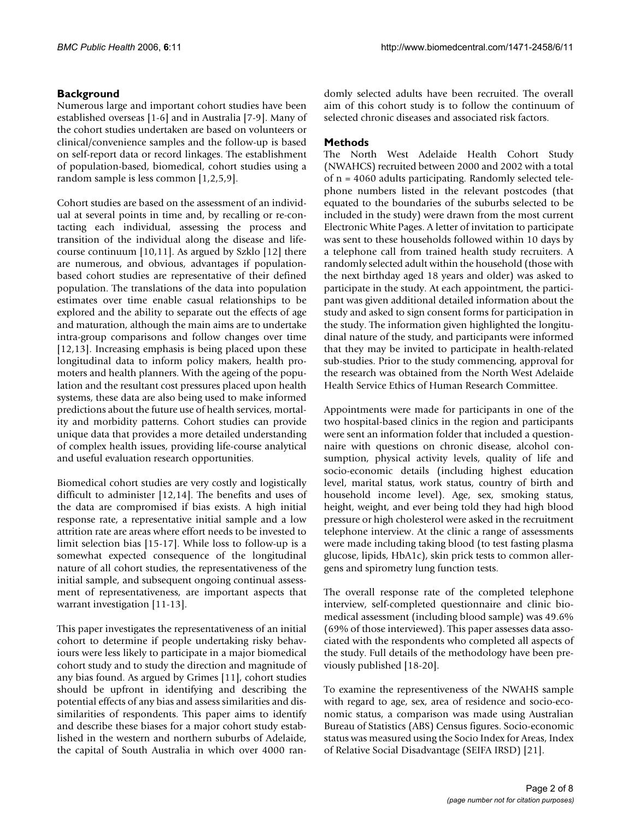# **Background**

Numerous large and important cohort studies have been established overseas [1-6] and in Australia [7-9]. Many of the cohort studies undertaken are based on volunteers or clinical/convenience samples and the follow-up is based on self-report data or record linkages. The establishment of population-based, biomedical, cohort studies using a random sample is less common [1,2,5,9].

Cohort studies are based on the assessment of an individual at several points in time and, by recalling or re-contacting each individual, assessing the process and transition of the individual along the disease and lifecourse continuum [10,11]. As argued by Szklo [12] there are numerous, and obvious, advantages if populationbased cohort studies are representative of their defined population. The translations of the data into population estimates over time enable casual relationships to be explored and the ability to separate out the effects of age and maturation, although the main aims are to undertake intra-group comparisons and follow changes over time [12,13]. Increasing emphasis is being placed upon these longitudinal data to inform policy makers, health promoters and health planners. With the ageing of the population and the resultant cost pressures placed upon health systems, these data are also being used to make informed predictions about the future use of health services, mortality and morbidity patterns. Cohort studies can provide unique data that provides a more detailed understanding of complex health issues, providing life-course analytical and useful evaluation research opportunities.

Biomedical cohort studies are very costly and logistically difficult to administer [12,14]. The benefits and uses of the data are compromised if bias exists. A high initial response rate, a representative initial sample and a low attrition rate are areas where effort needs to be invested to limit selection bias [15-17]. While loss to follow-up is a somewhat expected consequence of the longitudinal nature of all cohort studies, the representativeness of the initial sample, and subsequent ongoing continual assessment of representativeness, are important aspects that warrant investigation [11-13].

This paper investigates the representativeness of an initial cohort to determine if people undertaking risky behaviours were less likely to participate in a major biomedical cohort study and to study the direction and magnitude of any bias found. As argued by Grimes [11], cohort studies should be upfront in identifying and describing the potential effects of any bias and assess similarities and dissimilarities of respondents. This paper aims to identify and describe these biases for a major cohort study established in the western and northern suburbs of Adelaide, the capital of South Australia in which over 4000 randomly selected adults have been recruited. The overall aim of this cohort study is to follow the continuum of selected chronic diseases and associated risk factors.

# **Methods**

The North West Adelaide Health Cohort Study (NWAHCS) recruited between 2000 and 2002 with a total of n = 4060 adults participating. Randomly selected telephone numbers listed in the relevant postcodes (that equated to the boundaries of the suburbs selected to be included in the study) were drawn from the most current Electronic White Pages. A letter of invitation to participate was sent to these households followed within 10 days by a telephone call from trained health study recruiters. A randomly selected adult within the household (those with the next birthday aged 18 years and older) was asked to participate in the study. At each appointment, the participant was given additional detailed information about the study and asked to sign consent forms for participation in the study. The information given highlighted the longitudinal nature of the study, and participants were informed that they may be invited to participate in health-related sub-studies. Prior to the study commencing, approval for the research was obtained from the North West Adelaide Health Service Ethics of Human Research Committee.

Appointments were made for participants in one of the two hospital-based clinics in the region and participants were sent an information folder that included a questionnaire with questions on chronic disease, alcohol consumption, physical activity levels, quality of life and socio-economic details (including highest education level, marital status, work status, country of birth and household income level). Age, sex, smoking status, height, weight, and ever being told they had high blood pressure or high cholesterol were asked in the recruitment telephone interview. At the clinic a range of assessments were made including taking blood (to test fasting plasma glucose, lipids, HbA1c), skin prick tests to common allergens and spirometry lung function tests.

The overall response rate of the completed telephone interview, self-completed questionnaire and clinic biomedical assessment (including blood sample) was 49.6% (69% of those interviewed). This paper assesses data associated with the respondents who completed all aspects of the study. Full details of the methodology have been previously published [18-20].

To examine the representiveness of the NWAHS sample with regard to age, sex, area of residence and socio-economic status, a comparison was made using Australian Bureau of Statistics (ABS) Census figures. Socio-economic status was measured using the Socio Index for Areas, Index of Relative Social Disadvantage (SEIFA IRSD) [21].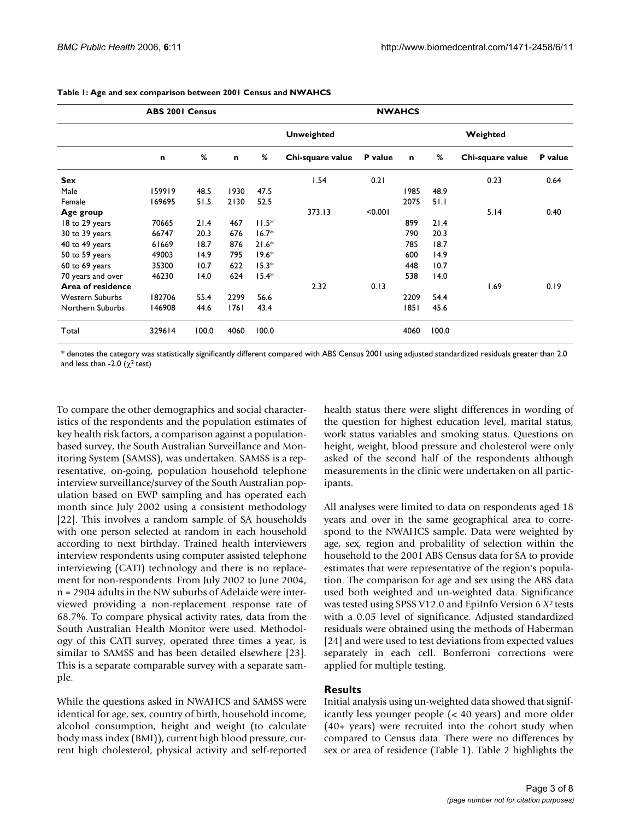|                        | <b>ABS 2001 Census</b> |       |                   |         | <b>NWAHCS</b>    |         |             |       |                  |         |  |  |
|------------------------|------------------------|-------|-------------------|---------|------------------|---------|-------------|-------|------------------|---------|--|--|
|                        |                        |       | <b>Unweighted</b> |         |                  |         | Weighted    |       |                  |         |  |  |
|                        | n                      | %     | n                 | %       | Chi-square value | P value | $\mathbf n$ | %     | Chi-square value | P value |  |  |
| Sex                    |                        |       |                   |         | 1.54             | 0.21    |             |       | 0.23             | 0.64    |  |  |
| Male                   | 159919                 | 48.5  | 1930              | 47.5    |                  |         | 1985        | 48.9  |                  |         |  |  |
| Female                 | 169695                 | 51.5  | 2130              | 52.5    |                  |         | 2075        | 51.I  |                  |         |  |  |
| Age group              |                        |       |                   |         | 373.13           | < 0.001 |             |       | 5.14             | 0.40    |  |  |
| 18 to 29 years         | 70665                  | 21.4  | 467               | $11.5*$ |                  |         | 899         | 21.4  |                  |         |  |  |
| 30 to 39 years         | 66747                  | 20.3  | 676               | $16.7*$ |                  |         | 790         | 20.3  |                  |         |  |  |
| 40 to 49 years         | 61669                  | 18.7  | 876               | $21.6*$ |                  |         | 785         | 18.7  |                  |         |  |  |
| 50 to 59 years         | 49003                  | 14.9  | 795               | $19.6*$ |                  |         | 600         | 14.9  |                  |         |  |  |
| 60 to 69 years         | 35300                  | 10.7  | 622               | $15.3*$ |                  |         | 448         | 10.7  |                  |         |  |  |
| 70 years and over      | 46230                  | 14.0  | 624               | $15.4*$ |                  |         | 538         | 14.0  |                  |         |  |  |
| Area of residence      |                        |       |                   |         | 2.32             | 0.13    |             |       | 1.69             | 0.19    |  |  |
| <b>Western Suburbs</b> | 182706                 | 55.4  | 2299              | 56.6    |                  |         | 2209        | 54.4  |                  |         |  |  |
| Northern Suburbs       | 146908                 | 44.6  | 1761              | 43.4    |                  |         | 1851        | 45.6  |                  |         |  |  |
| Total                  | 329614                 | 100.0 | 4060              | 100.0   |                  |         | 4060        | 100.0 |                  |         |  |  |

#### **Table 1: Age and sex comparison between 2001 Census and NWAHCS**

\* denotes the category was statistically significantly different compared with ABS Census 2001 using adjusted standardized residuals greater than 2.0 and less than -2.0 ( $\chi^2$  test)

To compare the other demographics and social characteristics of the respondents and the population estimates of key health risk factors, a comparison against a populationbased survey, the South Australian Surveillance and Monitoring System (SAMSS), was undertaken. SAMSS is a representative, on-going, population household telephone interview surveillance/survey of the South Australian population based on EWP sampling and has operated each month since July 2002 using a consistent methodology [22]. This involves a random sample of SA households with one person selected at random in each household according to next birthday. Trained health interviewers interview respondents using computer assisted telephone interviewing (CATI) technology and there is no replacement for non-respondents. From July 2002 to June 2004, n = 2904 adults in the NW suburbs of Adelaide were interviewed providing a non-replacement response rate of 68.7%. To compare physical activity rates, data from the South Australian Health Monitor were used. Methodology of this CATI survey, operated three times a year, is similar to SAMSS and has been detailed elsewhere [23]. This is a separate comparable survey with a separate sample.

While the questions asked in NWAHCS and SAMSS were identical for age, sex, country of birth, household income, alcohol consumption, height and weight (to calculate body mass index (BMI)), current high blood pressure, current high cholesterol, physical activity and self-reported

health status there were slight differences in wording of the question for highest education level, marital status, work status variables and smoking status. Questions on height, weight, blood pressure and cholesterol were only asked of the second half of the respondents although measurements in the clinic were undertaken on all participants.

All analyses were limited to data on respondents aged 18 years and over in the same geographical area to correspond to the NWAHCS sample. Data were weighted by age, sex, region and probalility of selection within the household to the 2001 ABS Census data for SA to provide estimates that were representative of the region's population. The comparison for age and sex using the ABS data used both weighted and un-weighted data. Significance was tested using SPSS V12.0 and EpiInfo Version 6 *X*2 tests with a 0.05 level of significance. Adjusted standardized residuals were obtained using the methods of Haberman [24] and were used to test deviations from expected values separately in each cell. Bonferroni corrections were applied for multiple testing.

# **Results**

Initial analysis using un-weighted data showed that significantly less younger people (< 40 years) and more older (40+ years) were recruited into the cohort study when compared to Census data. There were no differences by sex or area of residence (Table 1). Table 2 highlights the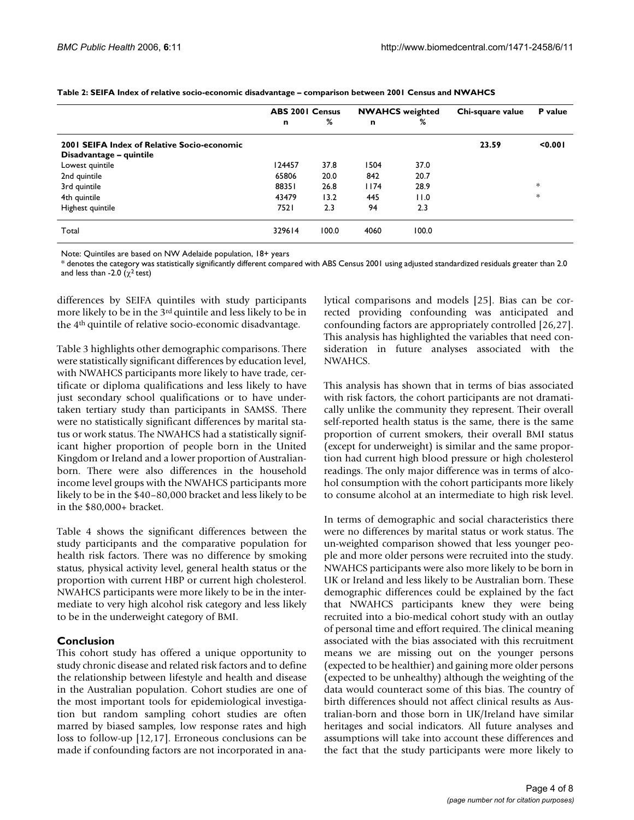|                                                                        | ABS 2001 Census |       | <b>NWAHCS</b> weighted |       | Chi-square value | P value |
|------------------------------------------------------------------------|-----------------|-------|------------------------|-------|------------------|---------|
|                                                                        | n               | %     | n                      | %     |                  |         |
| 2001 SEIFA Index of Relative Socio-economic<br>Disadvantage - quintile |                 |       |                        |       | 23.59            | < 0.001 |
| Lowest quintile                                                        | 124457          | 37.8  | 1504                   | 37.0  |                  |         |
| 2nd quintile                                                           | 65806           | 20.0  | 842                    | 20.7  |                  |         |
| 3rd quintile                                                           | 88351           | 26.8  | 1174                   | 28.9  |                  | $*$     |
| 4th quintile                                                           | 43479           | 13.2  | 445                    | 11.0  |                  | *       |
| Highest quintile                                                       | 7521            | 2.3   | 94                     | 2.3   |                  |         |
| Total                                                                  | 329614          | 100.0 | 4060                   | 100.0 |                  |         |

**Table 2: SEIFA Index of relative socio-economic disadvantage – comparison between 2001 Census and NWAHCS**

Note: Quintiles are based on NW Adelaide population, 18+ years

\* denotes the category was statistically significantly different compared with ABS Census 2001 using adjusted standardized residuals greater than 2.0 and less than -2.0 ( $\chi^2$  test)

differences by SEIFA quintiles with study participants more likely to be in the 3rd quintile and less likely to be in the 4th quintile of relative socio-economic disadvantage.

Table 3 highlights other demographic comparisons. There were statistically significant differences by education level, with NWAHCS participants more likely to have trade, certificate or diploma qualifications and less likely to have just secondary school qualifications or to have undertaken tertiary study than participants in SAMSS. There were no statistically significant differences by marital status or work status. The NWAHCS had a statistically significant higher proportion of people born in the United Kingdom or Ireland and a lower proportion of Australianborn. There were also differences in the household income level groups with the NWAHCS participants more likely to be in the \$40–80,000 bracket and less likely to be in the \$80,000+ bracket.

Table 4 shows the significant differences between the study participants and the comparative population for health risk factors. There was no difference by smoking status, physical activity level, general health status or the proportion with current HBP or current high cholesterol. NWAHCS participants were more likely to be in the intermediate to very high alcohol risk category and less likely to be in the underweight category of BMI.

# **Conclusion**

This cohort study has offered a unique opportunity to study chronic disease and related risk factors and to define the relationship between lifestyle and health and disease in the Australian population. Cohort studies are one of the most important tools for epidemiological investigation but random sampling cohort studies are often marred by biased samples, low response rates and high loss to follow-up [12,17]. Erroneous conclusions can be made if confounding factors are not incorporated in analytical comparisons and models [25]. Bias can be corrected providing confounding was anticipated and confounding factors are appropriately controlled [26,27]. This analysis has highlighted the variables that need consideration in future analyses associated with the NWAHCS.

This analysis has shown that in terms of bias associated with risk factors, the cohort participants are not dramatically unlike the community they represent. Their overall self-reported health status is the same, there is the same proportion of current smokers, their overall BMI status (except for underweight) is similar and the same proportion had current high blood pressure or high cholesterol readings. The only major difference was in terms of alcohol consumption with the cohort participants more likely to consume alcohol at an intermediate to high risk level.

In terms of demographic and social characteristics there were no differences by marital status or work status. The un-weighted comparison showed that less younger people and more older persons were recruited into the study. NWAHCS participants were also more likely to be born in UK or Ireland and less likely to be Australian born. These demographic differences could be explained by the fact that NWAHCS participants knew they were being recruited into a bio-medical cohort study with an outlay of personal time and effort required. The clinical meaning associated with the bias associated with this recruitment means we are missing out on the younger persons (expected to be healthier) and gaining more older persons (expected to be unhealthy) although the weighting of the data would counteract some of this bias. The country of birth differences should not affect clinical results as Australian-born and those born in UK/Ireland have similar heritages and social indicators. All future analyses and assumptions will take into account these differences and the fact that the study participants were more likely to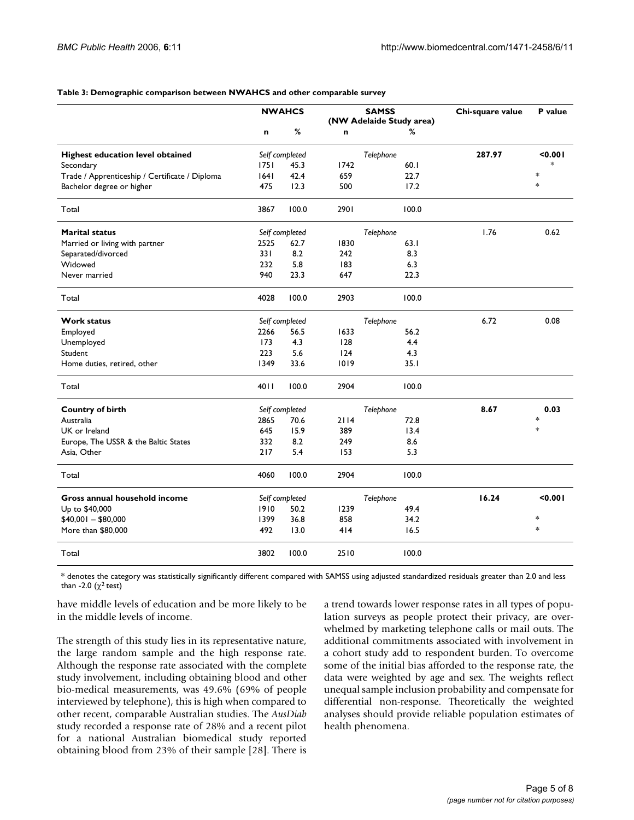#### **Table 3: Demographic comparison between NWAHCS and other comparable survey**

|                                                | <b>NWAHCS</b> |                |      | <b>SAMSS</b><br>(NW Adelaide Study area) | Chi-square value | P value |
|------------------------------------------------|---------------|----------------|------|------------------------------------------|------------------|---------|
|                                                | n             | $\%$           | n    | %                                        |                  |         |
| <b>Highest education level obtained</b>        |               | Self completed |      | Telephone                                | 287.97           | < 0.001 |
| Secondary                                      | 1751          | 45.3           | 1742 | 60.1                                     |                  | $\ast$  |
| Trade / Apprenticeship / Certificate / Diploma | 1641          | 42.4           | 659  | 22.7                                     |                  | $\ast$  |
| Bachelor degree or higher                      | 475           | 12.3           | 500  | 17.2                                     |                  | $\ast$  |
| Total                                          | 3867          | 100.0          | 2901 | 100.0                                    |                  |         |
| <b>Marital status</b>                          |               | Self completed |      | Telephone                                | 1.76             | 0.62    |
| Married or living with partner                 | 2525          | 62.7           | 1830 | 63.I                                     |                  |         |
| Separated/divorced                             | 331           | 8.2            | 242  | 8.3                                      |                  |         |
| Widowed                                        | 232           | 5.8            | 183  | 6.3                                      |                  |         |
| Never married                                  | 940           | 23.3           | 647  | 22.3                                     |                  |         |
| Total                                          | 4028          | 100.0          | 2903 | 100.0                                    |                  |         |
| <b>Work status</b>                             |               | Self completed |      | Telephone                                | 6.72             | 0.08    |
| Employed                                       | 2266          | 56.5           | 1633 | 56.2                                     |                  |         |
| Unemployed                                     | 173           | 4.3            | 128  | 4.4                                      |                  |         |
| Student                                        | 223           | 5.6            | 124  | 4.3                                      |                  |         |
| Home duties, retired, other                    | 1349          | 33.6           | 1019 | 35.1                                     |                  |         |
| Total                                          | 4011          | 100.0          | 2904 | 100.0                                    |                  |         |
| <b>Country of birth</b>                        |               | Self completed |      | Telephone                                | 8.67             | 0.03    |
| Australia                                      | 2865          | 70.6           | 2114 | 72.8                                     |                  | $\ast$  |
| UK or Ireland                                  | 645           | 15.9           | 389  | 13.4                                     |                  | $\ast$  |
| Europe, The USSR & the Baltic States           | 332           | 8.2            | 249  | 8.6                                      |                  |         |
| Asia, Other                                    | 217           | 5.4            | 153  | 5.3                                      |                  |         |
| Total                                          | 4060          | 100.0          | 2904 | 100.0                                    |                  |         |
| Gross annual household income                  |               | Self completed |      | Telephone                                | 16.24            | < 0.001 |
| Up to \$40,000                                 | 1910          | 50.2           | 1239 | 49.4                                     |                  |         |
| $$40,001 - $80,000$                            | 1399          | 36.8           | 858  | 34.2                                     |                  | $\ast$  |
| More than \$80,000                             | 492           | 13.0           | 414  | 16.5                                     |                  | $\ast$  |
| Total                                          | 3802          | 100.0          | 2510 | 100.0                                    |                  |         |

\* denotes the category was statistically significantly different compared with SAMSS using adjusted standardized residuals greater than 2.0 and less than -2.0  $(\chi^2 \text{ test})$ 

have middle levels of education and be more likely to be in the middle levels of income.

The strength of this study lies in its representative nature, the large random sample and the high response rate. Although the response rate associated with the complete study involvement, including obtaining blood and other bio-medical measurements, was 49.6% (69% of people interviewed by telephone), this is high when compared to other recent, comparable Australian studies. The *AusDiab* study recorded a response rate of 28% and a recent pilot for a national Australian biomedical study reported obtaining blood from 23% of their sample [28]. There is a trend towards lower response rates in all types of population surveys as people protect their privacy, are overwhelmed by marketing telephone calls or mail outs. The additional commitments associated with involvement in a cohort study add to respondent burden. To overcome some of the initial bias afforded to the response rate, the data were weighted by age and sex. The weights reflect unequal sample inclusion probability and compensate for differential non-response. Theoretically the weighted analyses should provide reliable population estimates of health phenomena.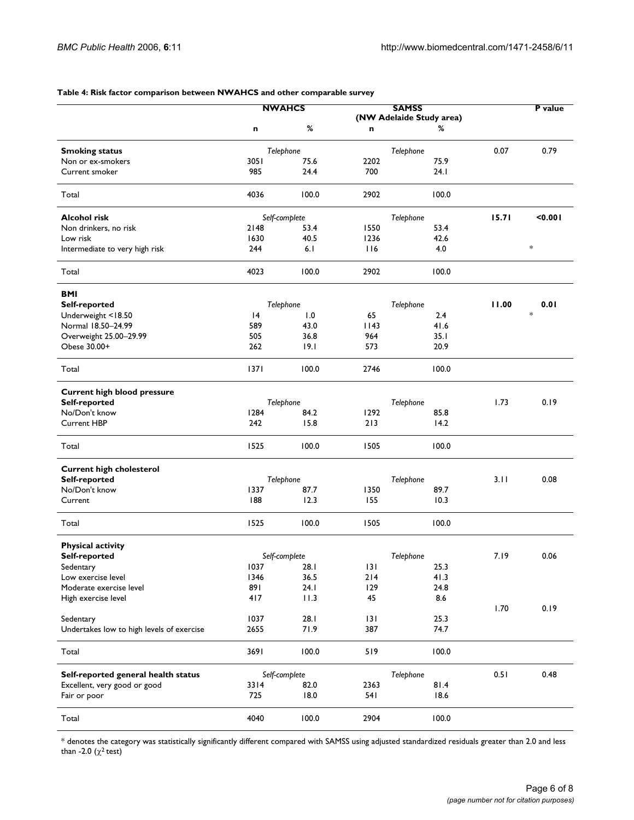#### **Table 4: Risk factor comparison between NWAHCS and other comparable survey**

|                                           |               | <b>NWAHCS</b> |           | <b>SAMSS</b>             |       | P value |
|-------------------------------------------|---------------|---------------|-----------|--------------------------|-------|---------|
|                                           |               |               |           |                          |       |         |
|                                           |               |               |           | (NW Adelaide Study area) |       |         |
|                                           | n             | $\%$          | n         | %                        |       |         |
| <b>Smoking status</b>                     |               | Telephone     |           | Telephone                | 0.07  | 0.79    |
| Non or ex-smokers                         | 3051          | 75.6          | 2202      | 75.9                     |       |         |
| Current smoker                            | 985           | 24.4          | 700       | 24.1                     |       |         |
|                                           |               |               |           |                          |       |         |
| Total                                     | 4036          | 100.0         | 2902      | 100.0                    |       |         |
| Alcohol risk                              |               | Self-complete |           | Telephone                | 15.71 | $0.001$ |
| Non drinkers, no risk                     | 2148          | 53.4          | 1550      | 53.4                     |       |         |
| Low risk                                  | 1630          | 40.5          | 1236      | 42.6                     |       |         |
| Intermediate to very high risk            | 244           | 6.1           | 116       | 4.0                      |       | $\ast$  |
| Total                                     | 4023          | 100.0         | 2902      | 100.0                    |       |         |
| <b>BMI</b>                                |               |               |           |                          |       |         |
| Self-reported                             |               | Telephone     |           | Telephone                | 11.00 | 0.01    |
|                                           | 14            | 1.0           | 65        | 2.4                      |       | $\ast$  |
| Underweight <18.50                        |               |               |           |                          |       |         |
| Normal 18.50-24.99                        | 589           | 43.0          | 1143      | 41.6                     |       |         |
| Overweight 25.00-29.99                    | 505           | 36.8          | 964       | 35.1                     |       |         |
| Obese 30.00+                              | 262           | 9.1           | 573       | 20.9                     |       |         |
| Total                                     | $1371$        | 100.0         | 2746      | 100.0                    |       |         |
| <b>Current high blood pressure</b>        |               |               |           |                          |       |         |
| Self-reported                             |               | Telephone     |           | Telephone                | 1.73  | 0.19    |
| No/Don't know                             | 1284          | 84.2          | 1292      | 85.8                     |       |         |
| <b>Current HBP</b>                        | 242           | 15.8          | 213       | 14.2                     |       |         |
|                                           |               |               |           |                          |       |         |
| Total                                     | 1525          | 100.0         | 1505      | 100.0                    |       |         |
| <b>Current high cholesterol</b>           |               |               |           |                          |       |         |
| Self-reported                             |               | Telephone     |           | Telephone                | 3.11  | 0.08    |
| No/Don't know                             | 1337          | 87.7          | 1350      | 89.7                     |       |         |
| Current                                   | 188           | 12.3          | 155       | 10.3                     |       |         |
|                                           |               |               |           |                          |       |         |
| Total                                     | 1525          | 100.0         | 1505      | 100.0                    |       |         |
| <b>Physical activity</b>                  |               |               |           |                          |       |         |
| Self-reported                             |               | Self-complete |           | Telephone                | 7.19  | 0.06    |
| Sedentary                                 | 1037          | 28. I         | 3         | 25.3                     |       |         |
| Low exercise level                        | 1346          | 36.5          | 214       | 41.3                     |       |         |
| Moderate exercise level                   | 891           | 24.1          | 129       | 24.8                     |       |         |
| High exercise level                       | 417           | 11.3          | 45        | 8.6                      |       |         |
|                                           |               |               |           |                          | 1.70  | 0.19    |
| Sedentary                                 | 1037          | 28.1          | 3         | 25.3                     |       |         |
|                                           |               |               |           |                          |       |         |
| Undertakes low to high levels of exercise | 2655          | 71.9          | 387       | 74.7                     |       |         |
| Total                                     | 3691          | 100.0         | 519       | 100.0                    |       |         |
| Self-reported general health status       | Self-complete |               | Telephone |                          | 0.51  | 0.48    |
| Excellent, very good or good              | 3314          | 82.0          | 2363      | 81.4                     |       |         |
| Fair or poor                              | 725           | 18.0          | 541       | 18.6                     |       |         |
| Total                                     | 4040          | 100.0         | 2904      | 100.0                    |       |         |

\* denotes the category was statistically significantly different compared with SAMSS using adjusted standardized residuals greater than 2.0 and less than -2.0  $(\chi^2 \text{ test})$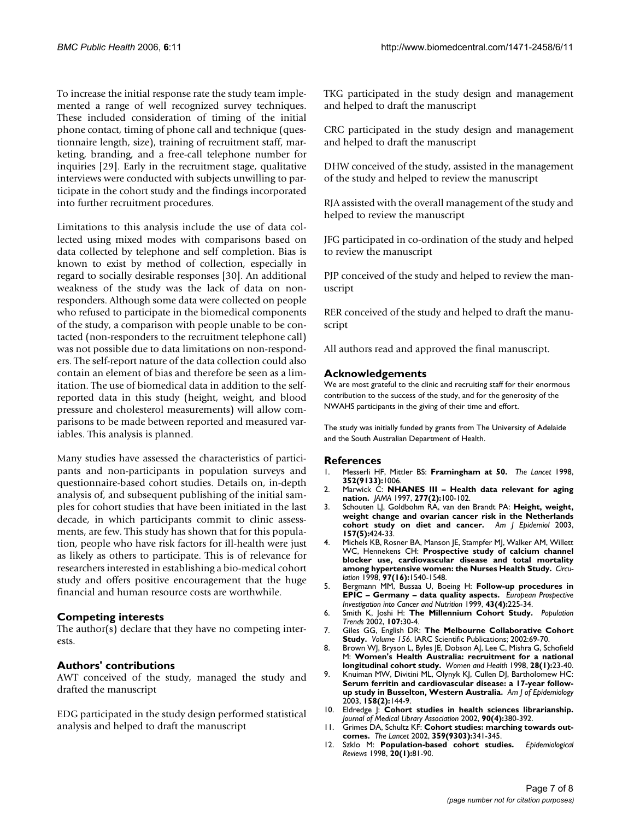To increase the initial response rate the study team implemented a range of well recognized survey techniques. These included consideration of timing of the initial phone contact, timing of phone call and technique (questionnaire length, size), training of recruitment staff, marketing, branding, and a free-call telephone number for inquiries [29]. Early in the recruitment stage, qualitative interviews were conducted with subjects unwilling to participate in the cohort study and the findings incorporated into further recruitment procedures.

Limitations to this analysis include the use of data collected using mixed modes with comparisons based on data collected by telephone and self completion. Bias is known to exist by method of collection, especially in regard to socially desirable responses [30]. An additional weakness of the study was the lack of data on nonresponders. Although some data were collected on people who refused to participate in the biomedical components of the study, a comparison with people unable to be contacted (non-responders to the recruitment telephone call) was not possible due to data limitations on non-responders. The self-report nature of the data collection could also contain an element of bias and therefore be seen as a limitation. The use of biomedical data in addition to the selfreported data in this study (height, weight, and blood pressure and cholesterol measurements) will allow comparisons to be made between reported and measured variables. This analysis is planned.

Many studies have assessed the characteristics of participants and non-participants in population surveys and questionnaire-based cohort studies. Details on, in-depth analysis of, and subsequent publishing of the initial samples for cohort studies that have been initiated in the last decade, in which participants commit to clinic assessments, are few. This study has shown that for this population, people who have risk factors for ill-health were just as likely as others to participate. This is of relevance for researchers interested in establishing a bio-medical cohort study and offers positive encouragement that the huge financial and human resource costs are worthwhile.

# **Competing interests**

The author(s) declare that they have no competing interests.

# **Authors' contributions**

AWT conceived of the study, managed the study and drafted the manuscript

EDG participated in the study design performed statistical analysis and helped to draft the manuscript

TKG participated in the study design and management and helped to draft the manuscript

CRC participated in the study design and management and helped to draft the manuscript

DHW conceived of the study, assisted in the management of the study and helped to review the manuscript

RJA assisted with the overall management of the study and helped to review the manuscript

JFG participated in co-ordination of the study and helped to review the manuscript

PJP conceived of the study and helped to review the manuscript

RER conceived of the study and helped to draft the manuscript

All authors read and approved the final manuscript.

### **Acknowledgements**

We are most grateful to the clinic and recruiting staff for their enormous contribution to the success of the study, and for the generosity of the NWAHS participants in the giving of their time and effort.

The study was initially funded by grants from The University of Adelaide and the South Australian Department of Health.

#### **References**

- 1. Messerli HF, Mittler BS: **Framingham at 50.** *The Lancet* 1998, **352(9133):**1006.
- 2. Marwick C: **[NHANES III Health data relevant for aging](http://www.ncbi.nlm.nih.gov/entrez/query.fcgi?cmd=Retrieve&db=PubMed&dopt=Abstract&list_uids=8990317) [nation.](http://www.ncbi.nlm.nih.gov/entrez/query.fcgi?cmd=Retrieve&db=PubMed&dopt=Abstract&list_uids=8990317)** *JAMA* 1997, **277(2):**100-102.
- 3. Schouten LJ, Goldbohm RA, van den Brandt PA: **[Height, weight,](http://www.ncbi.nlm.nih.gov/entrez/query.fcgi?cmd=Retrieve&db=PubMed&dopt=Abstract&list_uids=12615607) [weight change and ovarian cancer risk in the Netherlands](http://www.ncbi.nlm.nih.gov/entrez/query.fcgi?cmd=Retrieve&db=PubMed&dopt=Abstract&list_uids=12615607) [cohort study on diet and cancer.](http://www.ncbi.nlm.nih.gov/entrez/query.fcgi?cmd=Retrieve&db=PubMed&dopt=Abstract&list_uids=12615607)** *Am J Epidemiol* 2003, **157(5):**424-33.
- 4. Michels KB, Rosner BA, Manson JE, Stampfer MJ, Walker AM, Willett WC, Hennekens CH: **[Prospective study of calcium channel](http://www.ncbi.nlm.nih.gov/entrez/query.fcgi?cmd=Retrieve&db=PubMed&dopt=Abstract&list_uids=9593558) [blocker use, cardiovascular disease and total mortality](http://www.ncbi.nlm.nih.gov/entrez/query.fcgi?cmd=Retrieve&db=PubMed&dopt=Abstract&list_uids=9593558) [among hypertensive women: the Nurses Health Study.](http://www.ncbi.nlm.nih.gov/entrez/query.fcgi?cmd=Retrieve&db=PubMed&dopt=Abstract&list_uids=9593558)** *Circulation* 1998, **97(16):**1540-1548.
- 5. Bergmann MM, Bussaa U, Boeing H: **Follow-up procedures in EPIC – Germany – data quality aspects.** *European Prospective Investigation into Cancer and Nutrition* 1999, **43(4):**225-34.
- 6. Smith K, Joshi H: **[The Millennium Cohort Study.](http://www.ncbi.nlm.nih.gov/entrez/query.fcgi?cmd=Retrieve&db=PubMed&dopt=Abstract&list_uids=12152184)** *Population Trends* 2002, **107:**30-4.
- 7. Giles GG, English DR: **[The Melbourne Collaborative Cohort](http://www.ncbi.nlm.nih.gov/entrez/query.fcgi?cmd=Retrieve&db=PubMed&dopt=Abstract&list_uids=12484128) [Study.](http://www.ncbi.nlm.nih.gov/entrez/query.fcgi?cmd=Retrieve&db=PubMed&dopt=Abstract&list_uids=12484128)** *Volume 156*. IARC Scientific Publications; 2002:69-70.
- 8. Brown WJ, Bryson L, Byles JE, Dobson AJ, Lee C, Mishra G, Schofield M: **Women's Health Australia: recruitment for a national longitudinal cohort study.** *Women and Health* 1998, **28(1):**23-40.
- 9. Knuiman MW, Divitini ML, Olynyk KJ, Cullen DJ, Bartholomew HC: **Serum ferritin and cardiovascular disease: a 17-year followup study in Busselton, Western Australia.** *Am J of Epidemiology* 2003, **158(2):**144-9.
- 10. Eldredge J: **Cohort studies in health sciences librarianship.** *Journal of Medical Library Association* 2002, **90(4):**380-392.
- 11. Grimes DA, Schultz KF: **Cohort studies: marching towards outcomes.** *The Lancet* 2002, **359(9303):**341-345.
- 12. Szklo M: **Population-based cohort studies.** *Epidemiological Reviews* 1998, **20(1):**81-90.